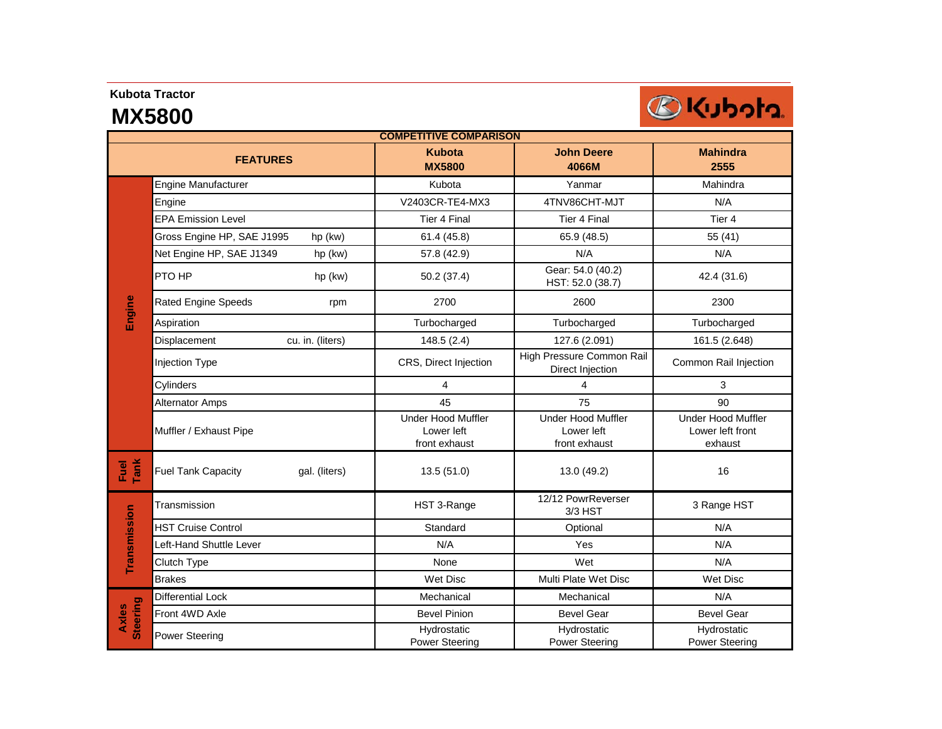## **Kubota Tractor**

## **MX5800**



| <b>COMPETITIVE COMPARISON</b> |                                            |                                                          |                                                          |                                                          |  |  |
|-------------------------------|--------------------------------------------|----------------------------------------------------------|----------------------------------------------------------|----------------------------------------------------------|--|--|
| <b>FEATURES</b>               |                                            | <b>Kubota</b><br><b>MX5800</b>                           | <b>John Deere</b><br>4066M                               | <b>Mahindra</b><br>2555                                  |  |  |
| Engine                        | Engine Manufacturer                        | Kubota                                                   | Yanmar                                                   | Mahindra                                                 |  |  |
|                               | Engine                                     | V2403CR-TE4-MX3                                          | 4TNV86CHT-MJT                                            | N/A                                                      |  |  |
|                               | <b>EPA Emission Level</b>                  | <b>Tier 4 Final</b>                                      | <b>Tier 4 Final</b>                                      | Tier 4                                                   |  |  |
|                               | Gross Engine HP, SAE J1995<br>hp (kw)      | 61.4 (45.8)                                              | 65.9 (48.5)                                              | 55 (41)                                                  |  |  |
|                               | Net Engine HP, SAE J1349<br>hp (kw)        | 57.8 (42.9)                                              | N/A                                                      | N/A                                                      |  |  |
|                               | PTO HP<br>hp (kw)                          | 50.2 (37.4)                                              | Gear: 54.0 (40.2)<br>HST: 52.0 (38.7)                    | 42.4 (31.6)                                              |  |  |
|                               | <b>Rated Engine Speeds</b><br>rpm          | 2700                                                     | 2600                                                     | 2300                                                     |  |  |
|                               | Aspiration                                 | Turbocharged                                             | Turbocharged                                             | Turbocharged                                             |  |  |
|                               | Displacement<br>cu. in. (liters)           | 148.5(2.4)                                               | 127.6 (2.091)                                            | 161.5 (2.648)                                            |  |  |
|                               | Injection Type                             | CRS, Direct Injection                                    | High Pressure Common Rail<br>Direct Injection            | Common Rail Injection                                    |  |  |
|                               | Cylinders                                  | $\overline{4}$                                           | 4                                                        | 3                                                        |  |  |
|                               | <b>Alternator Amps</b>                     | 45                                                       | 75                                                       | 90                                                       |  |  |
|                               | Muffler / Exhaust Pipe                     | <b>Under Hood Muffler</b><br>Lower left<br>front exhaust | <b>Under Hood Muffler</b><br>Lower left<br>front exhaust | <b>Under Hood Muffler</b><br>Lower left front<br>exhaust |  |  |
| Fuel<br>Tank                  | <b>Fuel Tank Capacity</b><br>gal. (liters) | 13.5(51.0)                                               | 13.0 (49.2)                                              | 16                                                       |  |  |
| Transmission                  | Transmission                               | HST 3-Range                                              | 12/12 PowrReverser<br>$3/3$ HST                          | 3 Range HST                                              |  |  |
|                               | <b>HST Cruise Control</b>                  | Standard                                                 | Optional                                                 | N/A                                                      |  |  |
|                               | Left-Hand Shuttle Lever                    | N/A                                                      | Yes                                                      | N/A                                                      |  |  |
|                               | Clutch Type                                | None                                                     | Wet                                                      | N/A                                                      |  |  |
|                               | <b>Brakes</b>                              | Wet Disc                                                 | Multi Plate Wet Disc                                     | Wet Disc                                                 |  |  |
| <b>Steering</b><br>Axles      | <b>Differential Lock</b>                   | Mechanical                                               | Mechanical                                               | N/A                                                      |  |  |
|                               | Front 4WD Axle                             | <b>Bevel Pinion</b>                                      | <b>Bevel Gear</b>                                        | <b>Bevel Gear</b>                                        |  |  |
|                               | Power Steering                             | Hydrostatic<br><b>Power Steering</b>                     | Hydrostatic<br><b>Power Steering</b>                     | Hydrostatic<br><b>Power Steering</b>                     |  |  |